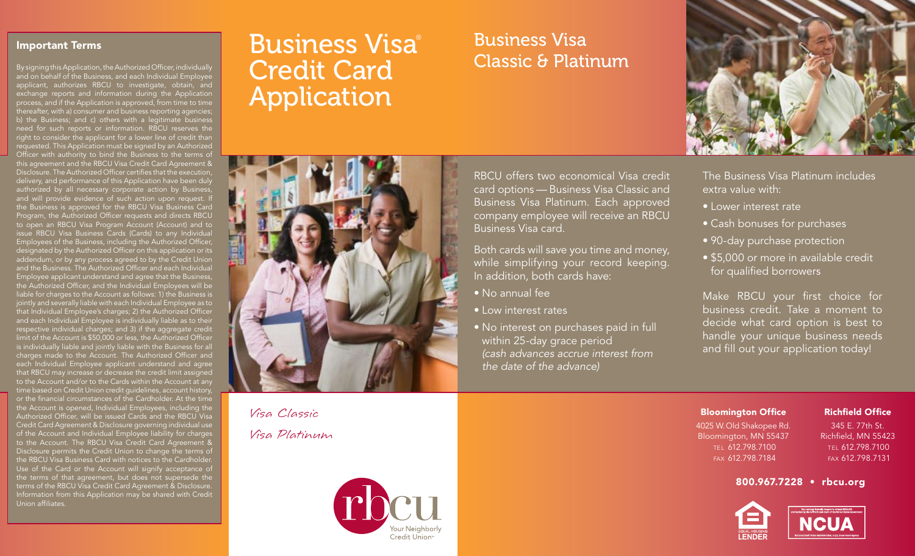#### Important Terms

By signing this Application, the Authorized Officer, individually and on behalf of the Business, and each Individual Employee applicant, authorizes RBCU to investigate, obtain, and exchange reports and information during the Application process, and if the Application is approved, from time to time thereafter, with a) consumer and business reporting agencies; b) the Business; and c) others with a legitimate business need for such reports or information. RBCU reserves the right to consider the applicant for a lower line of credit than requested. This Application must be signed by an Authorized Officer with authority to bind the Business to the terms of this agreement and the RBCU Visa Credit Card Agreement & Disclosure. The Authorized Officer certifies that the execution, delivery, and performance of this Application have been duly authorized by all necessary corporate action by Business, and will provide evidence of such action upon request. It the Business is approved for the RBCU Visa Business Card Program, the Authorized Officer requests and directs RBCU to open an RBCU Visa Program Account (Account) and to issue RBCU Visa Business Cards (Cards) to any Individual Employees of the Business, including the Authorized Officer, designated by the Authorized Officer on this application or its addendum, or by any process agreed to by the Credit Union and the Business. The Authorized Officer and each Individual Employee applicant understand and agree that the Business, the Authorized Officer, and the Individual Employees will be liable for charges to the Account as follows: 1) the Business is jointly and severally liable with each Individual Employee as to that Individual Employee's charges; 2) the Authorized Officer and each Individual Employee is individually liable as to their respective individual charges; and 3) if the aggregate credit limit of the Account is \$50,000 or less, the Authorized Officer is individually liable and jointly liable with the Business for all charges made to the Account. The Authorized Officer and each Individual Employee applicant understand and agree that RBCU may increase or decrease the credit limit assigned to the Account and/or to the Cards within the Account at any time based on Credit Union credit guidelines, account history, or the financial circumstances of the Cardholder. At the time the Account is opened, Individual Employees, including the Authorized Officer, will be issued Cards and the RBCU Visa Credit Card Agreement & Disclosure governing individual use of the Account and Individual Employee liability for charges to the Account. The RBCU Visa Credit Card Agreement & Disclosure permits the Credit Union to change the terms of the RBCU Visa Business Card with notices to the Cardholder. Use of the Card or the Account will signify acceptance of the terms of that agreement, but does not supersede the terms of the RBCU Visa Credit Card Agreement & Disclosure. Information from this Application may be shared with Credit Union affiliates.

# Business Visa® Credit Card Application

Visa Classic Visa Platinum



# Business Visa Classic & Platinum

RBCU offers two economical Visa credit card options — Business Visa Classic and Business Visa Platinum. Each approved company employee will receive an RBCU Business Visa card.

Both cards will save you time and money, while simplifying your record keeping. In addition, both cards have:

- • No annual fee
- • Low interest rates
- No interest on purchases paid in full within 25-day grace period *(cash advances accrue interest from the date of the advance)*



The Business Visa Platinum includes extra value with:

- • Lower interest rate
- Cash bonuses for purchases
- 90-day purchase protection
- \$5,000 or more in available credit for qualified borrowers

Make RBCU your first choice for business credit. Take a moment to decide what card option is best to handle your unique business needs and fill out your application today!

Bloomington Office 4025 W.Old Shakopee Rd. Bloomington, MN 55437 TEL 612.798.7100 fax 612.798.7184

#### Richfield Office 345 E. 77th St.

Richfield, MN 55423 tel 612.798.7100 fax 612.798.7131

#### 800.967.7228 • rbcu.org